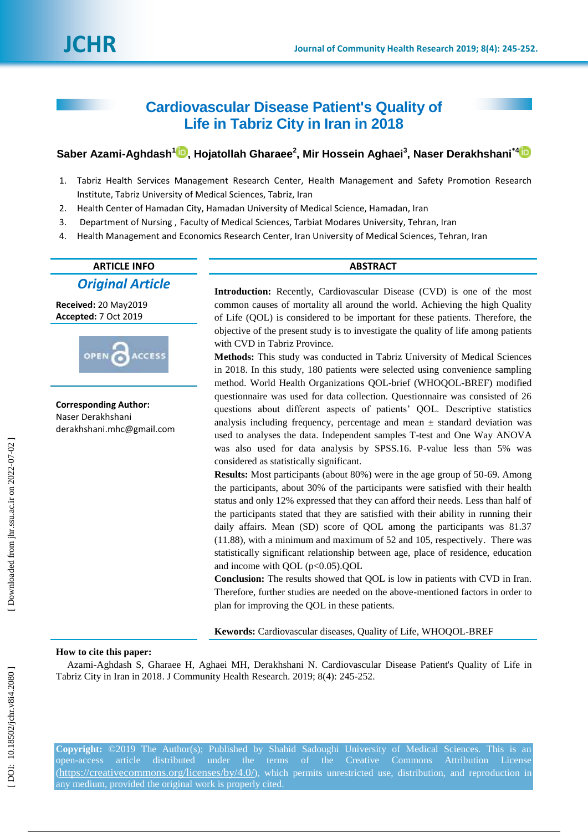# **Cardiovascular Disease Patient's Quality of Life in Tabriz City in Iran in 2018**

# $\mathsf{Saber\text{ }Azami\text{-}Aghdash\text{ }^1\textcolor{red}{\blacksquare}}, \mathsf{Hojatollah \text{ }Gharaee^2}, \mathsf{Mir \;Hossein \; Aghaei^3}, \mathsf{Naser \; Derakhshani\text{ }^4$  $\mathsf{Saber\text{ }Azami\text{-}Aghdash\text{ }^1\textcolor{red}{\blacksquare}}, \mathsf{Hojatollah \text{ }Gharaee^2}, \mathsf{Mir \;Hossein \; Aghaei^3}, \mathsf{Naser \; Derakhshani\text{ }^4$  $\mathsf{Saber\text{ }Azami\text{-}Aghdash\text{ }^1\textcolor{red}{\blacksquare}}, \mathsf{Hojatollah \text{ }Gharaee^2}, \mathsf{Mir \;Hossein \; Aghaei^3}, \mathsf{Naser \; Derakhshani\text{ }^4$

- 1 . Tabriz Health Services Management Research Center, Health Management and Safety Promotion Research Institute, Tabriz University of Medical Sciences, Tabriz, Iran
- 2 . Health Center of Hamadan City, Hamadan University of Medical Science, Hamadan, Iran
- 3 . Department of Nursing , Faculty of Medical Sciences, Tarbiat Modares University, Tehran, Iran
- 4 . Health Management and Economics Research Center, Iran University of Medical Sciences, Tehran, Iran

# **ARTICLE INFO ABSTRACT**

*Original Article*

**Received:** 20 May201 9 **Accepted:** 7 Oct 2019



**Corresponding Author:** Naser Derakhshan i derakhshani.mhc@gmail.com

**Introduction:** Recently, Cardiovascular Disease (CVD) is one of the most common causes of mortality all around the world. Achieving the high Quality of Life (QOL) is considered to be important for these patients. Therefore, the objective of the present study is to investigate the quality of life among patients with CVD in Tabriz Province.

**Methods:** This study was conducted in Tabriz University of Medical Sciences in 2018. In this study, 180 patients were selected using convenience sampling method. World Health Organizations QOL -brief (WHOQOL -BREF) modified questionnaire was used for data collection. Questionnaire was consisted of 26 questions about different aspects of patients' QOL. Descriptive statistics analysis including frequency, percentage and mean  $\pm$  standard deviation was used to analyses the data. Independent samples T -test and One Way ANOVA was also used for data analysis by SPSS.16. P -value less than 5% was considered as statistically significant.

**Results:** Most participants (about 80%) were in the age group of 50-69. Among the participants, about 30% of the participants were satisfied with their health status and only 12% expressed that they can afford their needs. Less than half of the participants stated that they are satisfied with their ability in running their daily affairs. Mean (SD) score of QOL among the participants was 81.37 (11.88), with a minimum and maximum of 52 and 105, respectively. There was statistically significant relationship between age, place of residence, education and income with QOL  $(p<0.05)$ .QOL

**Conclusion:** The results showed that QOL is low in patients with CVD in Iran. Therefore, further studies are needed on the above -mentioned factors in order to plan for improving the QOL in these patients.

**Kewords:** Cardiovascular diseases, Quality of Life , WHOQOL -BREF

## **How to cite this paper:**

Azami -Aghdash S, Gharaee H, Aghaei MH, Derakhshani N . Cardiovascular Disease Patient's Quality of Life in Tabriz City in Iran in 2018. J Community Health Research. 2019; 8(4): 245 -252 .

**Copyright:** ©2019 The Author(s); Published by Shahid Sadoughi University of Medical Sciences. This is an open-access article distributed under the terms of the Creative Commons Attribution License (<https://creativecommons.org/licenses/by/4.0/>), which permits unrestricted use, distribution, and reproduction in any medium, provided the original work is properly cited.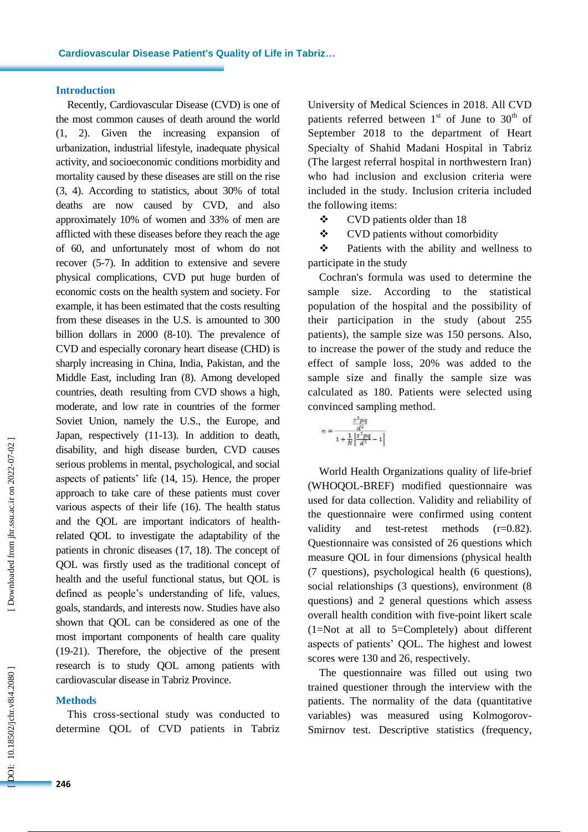### **Introduction**

Recently, Cardiovascular Disease (CVD) is one of the most common causes of death around the world (1, 2). Given the increasing expansion of urbanization, industrial lifestyle, inadequate physical activity, and socioeconomic conditions morbidity and mortality caused by these diseases are still on the rise (3, 4). According to statistics, about 30% of total deaths are now caused by CVD, and also approximately 10% of women and 33% of men are afflicted with these diseases before they reach the age of 60, and unfortunately most of whom do not recover  $(5-7)$ . In addition to extensive and severe physical complications, CVD put huge burden of economic costs on the health system and society. For example, it has been estimated that the costs resulting from these diseases in the U.S. is amounted to 300 billion dollars in 2000 (8-10). The prevalence of CVD and especially coronary heart disease (CHD) is sharply increasing in China, India, Pakistan, and the Middle East, including Iran ( 8 ). Among developed countries, death resulting from CVD shows a high, moderate, and low rate in countries of the former Soviet Union, namely the U.S., the Europe, and Japan, respectively (11 -13 ). In addition to death, disability, and high disease burden, CVD causes serious problems in mental, psychological, and social aspects of patients' life (14, 15 ). Hence, the proper approach to take care of these patients must cover various aspects of their life (16 ) . The health status and the QOL are important indicators of health related QOL to investigate the adaptability of the patients in chronic diseases (17, 18 ). The concept of QOL was firstly used as the traditional concept of health and the useful functional status, but QOL is defined as people's understanding of life, values, goals, standards, and interests now. Studies have also shown that QOL can be considered as one of the most important components of health care quality (19-21). Therefore, the objective of the present research is to study QOL among patients with cardiovascular disease in Tabriz Province.

#### **Methods**

This cross -sectional study was conducted to determine QOL of CVD patients in Tabriz

University of Medical Sciences in 2018 . All CVD patients referred between  $1<sup>st</sup>$  of June to  $30<sup>th</sup>$  of September 2018 to the department of Heart Specialty of Shahid Madani Hospital in Tabriz (The largest referral hospital in northwestern Iran) who had inclusion and exclusion criteria were included in the study. Inclusion criteria included the following items:

CVD patients older than 18

CVD patients without comorbidity

 Patients with the ability and wellness to participate in the study

Cochran's formula was used to determine the sample size. According to the statistical population of the hospital and the possibility of their participation in the study (about 255 patients), the sample size was 150 persons. Also, to increase the power of the study and reduce the effect of sample loss, 20% was added to the sample size and finally the sample size was calculated as 180. Patients were selected using convinced sampling method.

$$
n = \frac{\frac{x^2pq}{d^2}}{1 + \frac{1}{N} \left[ \frac{x^2pq}{d^2} - 1 \right]}
$$

World Health Organizations quality of life -brief (WHOQOL -BREF) modified questionnaire was used for data collection. Validity and reliability of the questionnaire were confirmed using content validity and test-retest methods  $(r=0.82)$ . Questionnaire was consisted of 26 questions which measure QOL in four dimensions (physical health (7 questions), psychological health (6 questions), social relationships (3 questions), environment (8 questions) and 2 general questions which assess overall health condition with five -point likert scale (1=Not at all to 5=Completely ) about different aspects of patients' QOL . The highest and lowest scores were 130 and 26, respectively.

The questionnaire was filled out using two trained questioner through the interview with the patients. The normality of the data (quantitative variables) was measured using Kolmogorov - Smirnov test. Descriptive statistics (frequency,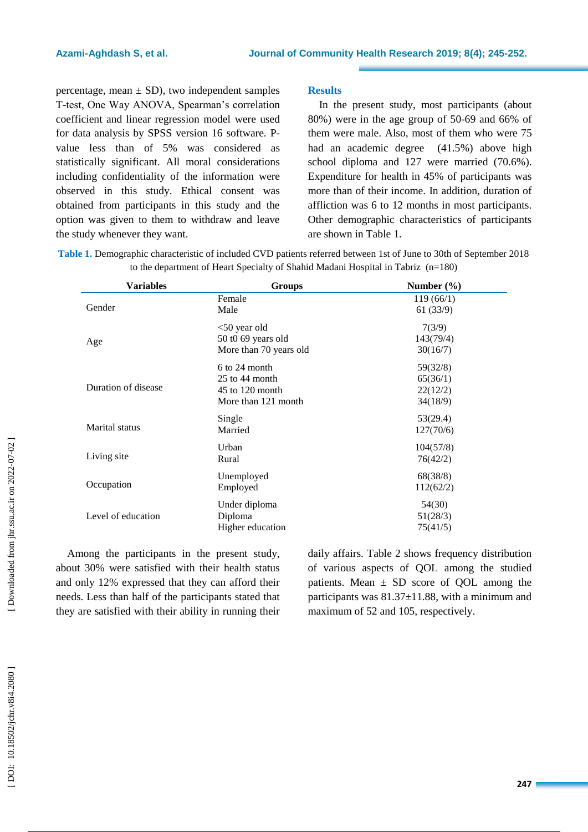percentage, mean  $\pm$  SD), two independent samples T -test, One Way ANOVA, Spearman's correlation coefficient and linear regression model were used for data analysis by SPSS version 16 software. Pvalue less than of 5 % was considered as statistically significant. All moral considerations including confidentiality of the information were observed in this study. Ethical consent was obtained from participants in this study and the option was given to them to withdraw and leave the study whenever they want.

## **Results**

In the present study, most participants (about 80%) were in the age group of 5 0 -69 and 66% of them were male. Also, most of them who were 75 had an academic degree (41.5 %) above high school diploma and 127 were married (70.6 %). Expenditure for health in 45% of participants was more than of their income. In addition, duration of affliction was 6 to 12 months in most participants. Other demographic characteristics of participants are shown in Table 1.

| Table 1. Demographic characteristic of included CVD patients referred between 1st of June to 30th of September 2018 |  |
|---------------------------------------------------------------------------------------------------------------------|--|
| to the department of Heart Specialty of Shahid Madani Hospital in Tabriz $(n=180)$                                  |  |

| <b>Variables</b>      | Groups                 | Number $(\% )$ |  |  |  |
|-----------------------|------------------------|----------------|--|--|--|
|                       | Female                 | 119(66/1)      |  |  |  |
| Gender                | Male                   | 61(33/9)       |  |  |  |
|                       | $<$ 50 year old        | 7(3/9)         |  |  |  |
| Age                   | 50 t0 69 years old     | 143(79/4)      |  |  |  |
|                       | More than 70 years old | 30(16/7)       |  |  |  |
|                       | $6$ to 24 month        | 59(32/8)       |  |  |  |
|                       | $25$ to 44 month       | 65(36/1)       |  |  |  |
| Duration of disease   | $45$ to $120$ month    | 22(12/2)       |  |  |  |
|                       | More than 121 month    | 34(18/9)       |  |  |  |
|                       | Single                 | 53(29.4)       |  |  |  |
| <b>Marital</b> status | Married                | 127(70/6)      |  |  |  |
|                       | Urban                  | 104(57/8)      |  |  |  |
| Living site           | Rural                  | 76(42/2)       |  |  |  |
|                       | Unemployed             | 68(38/8)       |  |  |  |
| Occupation            | Employed               | 112(62/2)      |  |  |  |
|                       | Under diploma          | 54(30)         |  |  |  |
| Level of education    | Diploma                | 51(28/3)       |  |  |  |
|                       | Higher education       | 75(41/5)       |  |  |  |

Among the participants in the present study, about 30% were satisfied with their health status and only 12% expressed that they can afford their needs. Less than half of the participants stated that they are satisfied with their ability in running their daily affairs. Table 2 shows frequency distribution of various aspects of QOL among the studied patients. Mean  $\pm$  SD score of QOL among the participants was 81.37±11.88, with a minimum and maximum of 52 and 105, respectively.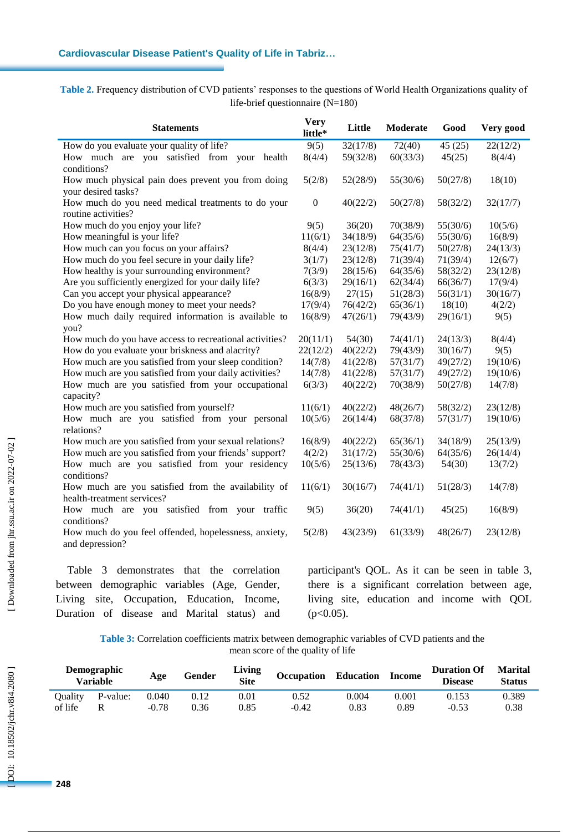**Table 2.** Frequency distribution of CVD patients' responses to the questions of World Health Organizations quality of life -brief questionnaire (N=180)

| <b>Statements</b>                                                                 | <b>Very</b><br>little* | Little   | Moderate | Good     | Very good |
|-----------------------------------------------------------------------------------|------------------------|----------|----------|----------|-----------|
| How do you evaluate your quality of life?                                         | 9(5)                   | 32(17/8) | 72(40)   | 45(25)   | 22(12/2)  |
| How much are you satisfied from your health<br>conditions?                        | 8(4/4)                 | 59(32/8) | 60(33/3) | 45(25)   | 8(4/4)    |
| How much physical pain does prevent you from doing<br>your desired tasks?         | 5(2/8)                 | 52(28/9) | 55(30/6) | 50(27/8) | 18(10)    |
| How much do you need medical treatments to do your<br>routine activities?         | $\boldsymbol{0}$       | 40(22/2) | 50(27/8) | 58(32/2) | 32(17/7)  |
| How much do you enjoy your life?                                                  | 9(5)                   | 36(20)   | 70(38/9) | 55(30/6) | 10(5/6)   |
| How meaningful is your life?                                                      | 11(6/1)                | 34(18/9) | 64(35/6) | 55(30/6) | 16(8/9)   |
| How much can you focus on your affairs?                                           | 8(4/4)                 | 23(12/8) | 75(41/7) | 50(27/8) | 24(13/3)  |
| How much do you feel secure in your daily life?                                   | 3(1/7)                 | 23(12/8) | 71(39/4) | 71(39/4) | 12(6/7)   |
| How healthy is your surrounding environment?                                      | 7(3/9)                 | 28(15/6) | 64(35/6) | 58(32/2) | 23(12/8)  |
| Are you sufficiently energized for your daily life?                               | 6(3/3)                 | 29(16/1) | 62(34/4) | 66(36/7) | 17(9/4)   |
| Can you accept your physical appearance?                                          | 16(8/9)                | 27(15)   | 51(28/3) | 56(31/1) | 30(16/7)  |
| Do you have enough money to meet your needs?                                      | 17(9/4)                | 76(42/2) | 65(36/1) | 18(10)   | 4(2/2)    |
| How much daily required information is available to<br>you?                       | 16(8/9)                | 47(26/1) | 79(43/9) | 29(16/1) | 9(5)      |
| How much do you have access to recreational activities?                           | 20(11/1)               | 54(30)   | 74(41/1) | 24(13/3) | 8(4/4)    |
| How do you evaluate your briskness and alacrity?                                  | 22(12/2)               | 40(22/2) | 79(43/9) | 30(16/7) | 9(5)      |
| How much are you satisfied from your sleep condition?                             | 14(7/8)                | 41(22/8) | 57(31/7) | 49(27/2) | 19(10/6)  |
| How much are you satisfied from your daily activities?                            | 14(7/8)                | 41(22/8) | 57(31/7) | 49(27/2) | 19(10/6)  |
| How much are you satisfied from your occupational<br>capacity?                    | 6(3/3)                 | 40(22/2) | 70(38/9) | 50(27/8) | 14(7/8)   |
| How much are you satisfied from yourself?                                         | 11(6/1)                | 40(22/2) | 48(26/7) | 58(32/2) | 23(12/8)  |
| How much are you satisfied from your personal<br>relations?                       | 10(5/6)                | 26(14/4) | 68(37/8) | 57(31/7) | 19(10/6)  |
| How much are you satisfied from your sexual relations?                            | 16(8/9)                | 40(22/2) | 65(36/1) | 34(18/9) | 25(13/9)  |
| How much are you satisfied from your friends' support?                            | 4(2/2)                 | 31(17/2) | 55(30/6) | 64(35/6) | 26(14/4)  |
| How much are you satisfied from your residency<br>conditions?                     | 10(5/6)                | 25(13/6) | 78(43/3) | 54(30)   | 13(7/2)   |
| How much are you satisfied from the availability of<br>health-treatment services? | 11(6/1)                | 30(16/7) | 74(41/1) | 51(28/3) | 14(7/8)   |
| How much<br>are you satisfied from your traffic<br>conditions?                    | 9(5)                   | 36(20)   | 74(41/1) | 45(25)   | 16(8/9)   |
| How much do you feel offended, hopelessness, anxiety,<br>and depression?          | 5(2/8)                 | 43(23/9) | 61(33/9) | 48(26/7) | 23(12/8)  |

Table 3 demonstrates that the correlation between demographic variables (Age, Gender, Living site, Occupation, Education, Income, Duration of disease and Marital status ) and

participant's QOL . As it can be seen in table 3, there is a significant correlation between age, living site, education and income with QOL  $(p<0.05)$ .

**Table 3:** Correlation coefficients matrix between demographic variables of CVD patients and the mean score of the quality of life

|         | <b>Demographic</b><br>Variable | Age     | Gender | Living<br><b>Site</b> | Occupation | <b>Education</b> | <b>Income</b> | <b>Duration Of</b><br><b>Disease</b> | <b>Marital</b><br>Status |
|---------|--------------------------------|---------|--------|-----------------------|------------|------------------|---------------|--------------------------------------|--------------------------|
| Ouality | P-value:                       | 0.040   | 0.12   | $\rm 0.01$            | 0.52       | 0.004            | 0.001         | 0.153                                | 0.389                    |
| of life |                                | $-0.78$ | 0.36   | 0.85                  | $-0.42$    | 0.83             | 0.89          | $-0.53$                              | 0.38                     |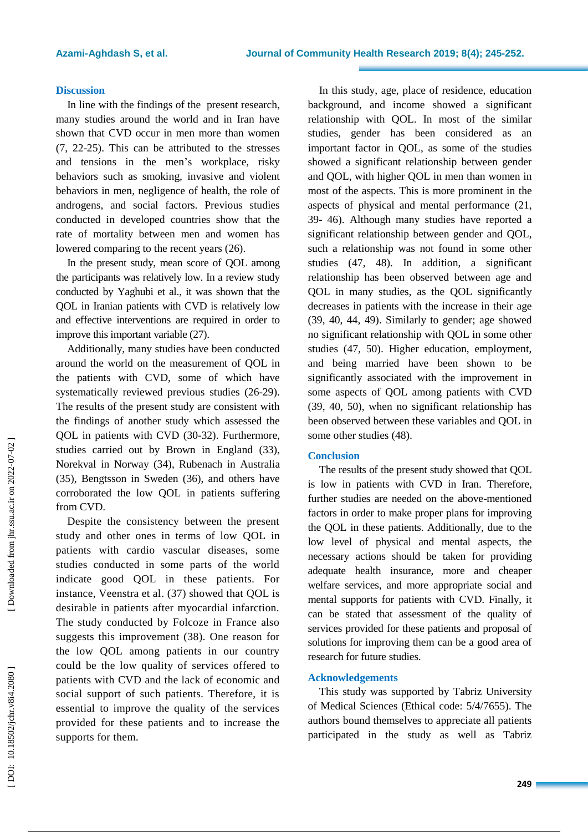#### **Discussion**

In line with the findings of the present research, many studies around the world and in Iran have shown that CVD occur in men more than women (7, 22-25). This can be attributed to the stresses and tensions in the men's workplace, risky behaviors such as smoking, invasive and violent behaviors in men, negligence of health, the role of androgens, and social factors. Previous studies conducted in developed countries show that the rate of mortality between men and women has lowered comparing to the recent years (26).

In the present study, mean score of QOL among the participants was relatively low. In a review study conducted by Yaghubi et al. , it was shown that the QOL in Iranian patients with CVD is relatively low and effective interventions are required in order to improve this important variable (27 ) .

Additionally, many studies have been conducted around the world on the measurement of QOL in the patients with CVD, some of which have systematically reviewed previous studies (26-29). The results of the present study are consistent with the findings of another study which assessed the QOL in patients with CVD (30 -32 ). Furthermore, studies carried out by Brown in England (33 ), Norekval in Norway (34 ) , Rubenach in Australia (35 ), Bengtsson in Sweden (36 ), and others have corroborated the low QOL in patients suffering from CVD.

Despite the consistency between the present study and other ones in terms of low QOL in patients with cardio vascular diseases, some studies conducted in some parts of the world indicate good QOL in these patients. For instance, Veenstra et al. (37 ) showed that QOL is desirable in patients after myocardial infarction. The study conducted by Folcoze in France also suggests this improvement (38 ). One reason for the low QO L among patients in our country could be the low quality of services offered to patients with CVD and the lack of economic and social support of such patients. Therefore, it is essential to improve the quality of the services provided for these patients and to increase the supports for them.

In this study, age, place of residence, education background, and income showed a significant relationship with QOL. In most of the similar studies, gender has been considered as an important factor in QOL, as some of the studies showed a significant relationship between gender and QOL, with higher QOL in men than women in most of the aspects. This is more prominent in the aspects of physical and mental performance (21, 39 - 4 6 ) . Although many studies have reported a significant relationship between gender and QOL, such a relationship was not found in some other studies ( 4 7, 4 8 ). In addition, a significant relationship has been observed between age and QOL in many studies, as the QOL significantly decreases in patients with the increase in their age (39, 40, 44, 49). Similarly to gender; age showed no significant relationship with QOL in some other studies ( 4 7, 5 0 ). Higher education, employment, and being married have been shown to be significantly associated with the improvement in some aspects of QOL among patients with CVD (39, 4 0, 5 0 ), when no significant relationship has been observed between these variables and QOL in some other studies (48).

## **Conclusion**

The results of the present study showed that QOL is low in patients with CVD in Iran. Therefore, further studies are needed on the above -mentioned factors in order to make proper plans for improving the QOL in these patients. Additionally, due to the low level of physical and mental aspects, the necessary actions should be taken for providing adequate health insurance, more and cheaper welfare services, and more appropriate social and mental supports for patients with CVD. Finally, it can be stated that assessment of the quality of services provided for these patients and proposal of solutions for improving them can be a good area of research for future studies.

#### **Acknowledgement s**

This study was supported by Tabriz University of Medical Sciences (Ethical code: 5/4/7655). The authors bound themselves to appreciate all patients participated in the study as well as Tabriz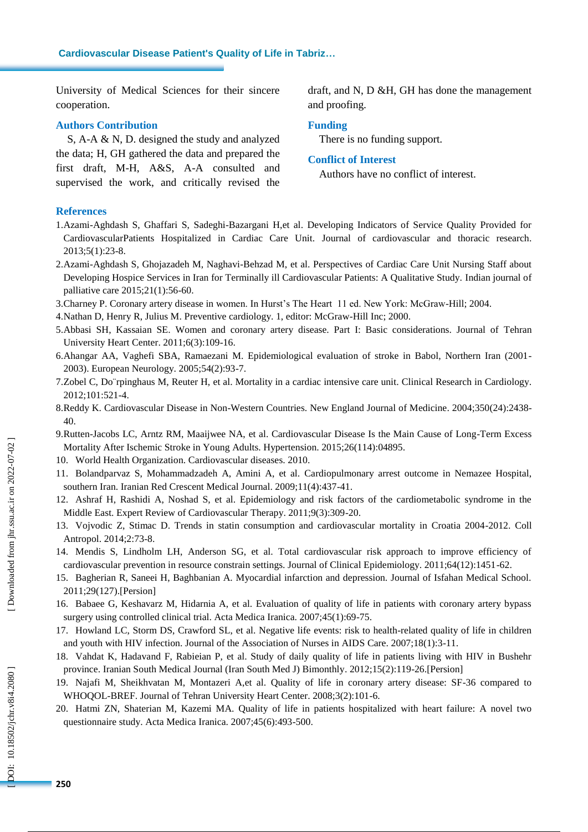University of Medical Sciences for their sincere cooperation.

# **Authors Contribution**

S, A - A & N, D. designed the study and analyzed the data; H, GH gathered the data and prepared the first draft, M -H, A&S, A -A consulted and supervised the work, and critically revised the

draft, and N, D &H, GH has done the management and proofing.

#### **Funding**

There is no funding support.

#### **Conflict of Interest**

Authors have no conflict of interest.

## **References**

- 1.Azami -Aghdash S, Ghaffari S, Sadeghi -Bazargani H,et al. Developing Indicators of Service Quality Provided for CardiovascularPatients Hospitalized in Cardiac Care Unit. Journal of cardiovascular and thoracic research. 2013;5(1):23 -8.
- 2.Azami -Aghdash S, Ghojazadeh M, Naghavi -Behzad M, et al. Perspectives of Cardiac Care Unit Nursing Staff about Developing Hospice Services in Iran for Terminally ill Cardiovascular Patients: A Qualitative Study. Indian journal of palliative care 2015;21(1):56 -60.
- 3.Charney P. Coronary artery disease in women. In Hurst's The Heart 11 ed. New York: McGraw -Hill; 2004.
- 4.Nathan D, Henry R, Julius M. Preventive cardiology. 1, editor: McGraw -Hill Inc; 2000.
- 5.Abbasi SH, Kassaian SE. Women and coronary artery disease. Part I: Basic considerations. Journal of Tehran University Heart Center. 2011;6(3):109 -16.
- 6.Ahangar AA, Vaghefi SBA, Ramaezani M. Epidemiological evaluation of stroke in Babol, Northern Iran (2001 2003). European Neurology. 2005;54(2):93 -7.
- 7.Zobel C, Do¨rpinghaus M, Reuter H, et al. Mortality in a cardiac intensive care unit. Clinical Research in Cardiology. 2012;101:521 -4.
- 8.Reddy K. Cardiovascular Disease in Non -Western Countries. New England Journal of Medicine. 2004;350(24):2438 40.
- 9.Rutten -Jacobs LC, Arntz RM, Maaijwee NA, et al. Cardiovascular Disease Is the Main Cause of Long -Term Excess Mortality After Ischemic Stroke in Young Adults. Hypertension. 2015;26(114):04895.
- 10. World Health Organization. Cardiovascular diseases. 2010.
- 11. Bolandparvaz S, Mohammadzadeh A, Amini A, et al. Cardiopulmonary arrest outcome in Nemazee Hospital, southern Iran. Iranian Red Crescent Medical Journal. 2009;11(4):437 -41.
- 12. Ashraf H, Rashidi A, Noshad S, et al. Epidemiology and risk factors of the cardiometabolic syndrome in the Middle East. Expert Review of Cardiovascular Therapy. 2011;9(3):309-20.
- 13. Vojvodic Z, Stimac D. Trends in statin consumption and cardiovascular mortality in Croatia 2004 -2012. Coll Antropol. 2014;2:73 -8.
- 14. Mendis S, Lindholm LH, Anderson SG, et al. Total cardiovascular risk approach to improve efficiency of cardiovascular prevention in resource constrain settings. Journal of Clinical Epidemiology. 2011;64(12):1451 -62.
- 15. Bagherian R, Saneei H, Baghbanian A. Myocardial infarction and depression. Journal of Isfahan Medical School. 2011;29(127). [ Persion]
- 16. Babaee G, Keshavarz M, Hidarnia A, et al. Evaluation of quality of life in patients with coronary artery bypass surgery using controlled clinical trial. Acta Medica Iranica. 2007;45(1):69 -75.
- 17. Howland LC, Storm DS, Crawford SL, et al. Negative life events: risk to health -related quality of life in children and youth with HIV infection. Journal of the Association of Nurses in AIDS Care. 2007;18(1):3 -11.
- 18. Vahdat K, Hadavand F, Rabieian P, et al. Study of daily quality of life in patients living with HIV in Bushehr province. Iranian South Medical Journal (Iran South Med J) Bimonthly. 2012;15(2):119-26. [Persion]
- 19. Najafi M, Sheikhvatan M, Montazeri A,et al. Quality of life in coronary artery disease: SF -36 compared to WHOQOL -BREF. Journal of Tehran University Heart Center. 2008;3(2):101 -6.
- 20. Hatmi ZN, Shaterian M, Kazemi MA. Quality of life in patients hospitalized with heart failure: A novel two questionnaire study. Acta Medica Iranica. 2007;45(6):493 -500.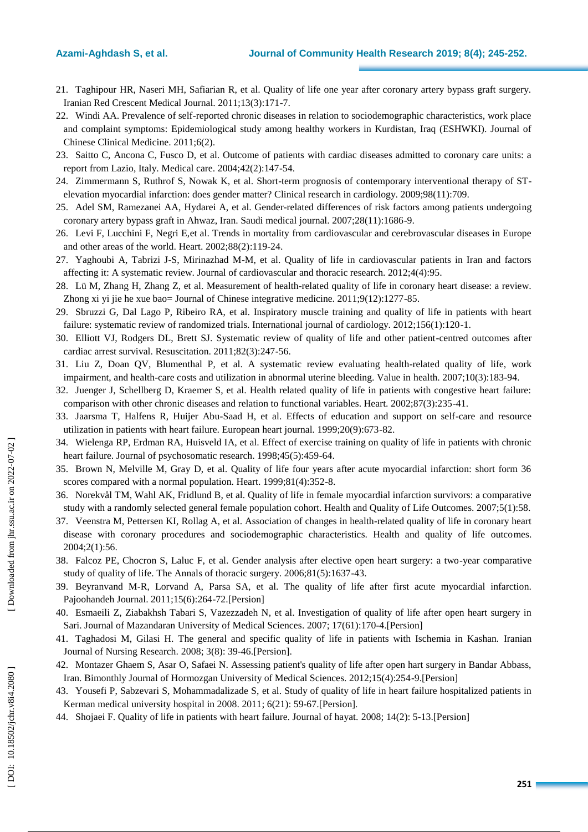- 21. Taghipour HR, Naseri MH, Safiarian R, et al. Quality of life one year after coronary artery bypass graft surgery. Iranian Red Crescent Medical Journal. 2011;13(3):171 -7.
- 22. Windi AA. Prevalence of self -reported chronic diseases in relation to sociodemographic characteristics, work place and complaint symptoms: Epidemiological study among healthy workers in Kurdistan, Iraq (ESHWKI). Journal of Chinese Clinical Medicine. 2011;6(2).
- 23. Saitto C, Ancona C, Fusco D, et al. Outcome of patients with cardiac diseases admitted to coronary care units: a report from Lazio, Italy. Medical care. 2004;42(2):147 -54.
- 24. Zimmermann S, Ruthrof S, Nowak K, et al. Short -term prognosis of contemporary interventional therapy of ST elevation myocardial infarction: does gender matter? Clinical research in cardiology. 2009;98(11):709.
- 25. Adel SM, Ramezanei AA, Hydarei A, et al. Gender -related differences of risk factors among patients undergoing coronary artery bypass graft in Ahwaz, Iran. Saudi medical journal. 2007;28(11):1686 -9.
- 26. Levi F, Lucchini F, Negri E,et al. Trends in mortality from cardiovascular and cerebrovascular diseases in Europe and other areas of the world. Heart. 2002;88(2):119 -24.
- 27. Yaghoubi A, Tabrizi J -S, Mirinazhad M -M, et al. Quality of life in cardiovascular patients in Iran and factors affecting it: A systematic review. Journal of cardiovascular and thoracic research. 2012;4(4):95.
- 28. Lü M, Zhang H, Zhang Z, et al . Measurement of health -related quality of life in coronary heart disease: a review. Zhong xi yi jie he xue bao= Journal of Chinese integrative medicine. 2011;9(12):1277 -85.
- 29. Sbruzzi G, Dal Lago P, Ribeiro RA, et al. Inspiratory muscle training and quality of life in patients with heart failure: systematic review of randomized trials. International journal of cardiology. 2012;156(1):120 -1.
- 30. Elliott VJ, Rodgers DL, Brett SJ. Systematic review of quality of life and other patient -centred outcomes after cardiac arrest survival. Resuscitation. 2011;82(3):247 -56.
- 31. Liu Z, Doan QV, Blumenthal P, et al. A systematic review evaluating health -related quality of life, work impairment, and health -care costs and utilization in abnormal uterine bleeding. Value in health. 2007;10(3):183 -94.
- 32. Juenger J, Schellberg D, Kraemer S, et al. Health related quality of life in patients with congestive heart failure: comparison with other chronic diseases and relation to functional variables. Heart. 2002;87(3):235 -41.
- 33. Jaarsma T, Halfens R, Huijer Abu -Saad H, et al. Effects of education and support on self -care and resource utilization in patients with heart failure. European heart journal. 1999;20(9):673 -82.
- 34. Wielenga RP, Erdman RA, Huisveld IA, et al. Effect of exercise training on quality of life in patients with chronic heart failure. Journal of psychosomatic research. 1998;45(5):459 -64.
- 35. Brown N, Melville M, Gray D, et al. Quality of life four years after acute myocardial infarction: short form 36 scores compared with a normal population. Heart. 1999;81(4):352 -8.
- 36. Norekvål TM, Wahl AK, Fridlund B, et al. Quality of life in female myocardial infarction survivors: a comparative study with a randomly selected general female population cohort. Health and Quality of Life Outcomes. 2007;5(1):58.
- 37. Veenstra M, Pettersen KI, Rollag A, et al. Association of changes in health -related quality of life in coronary heart disease with coronary procedures and sociodemographic characteristics. Health and quality of life outcomes. 2004;2(1):56.
- 38. Falcoz PE, Chocron S, Laluc F, et al. Gender analysis after elective open heart surgery: a two -year comparative study of quality of life. The Annals of thoracic surgery. 2006;81(5):1637 -43.
- 39 . Beyranvand M -R, Lorvand A, Parsa SA, et al. The quality of life after first acute myocardial infarction. Pajoohandeh Journal. 2011;15(6):264 -72. [ Persion]
- 40 . Esmaeili Z, Ziabakhsh Tabari S, Vazezzadeh N, et al. Investigation of quality of life after open heart surgery in Sari. Journal of Mazandaran University of Medical Sciences. 2007; 17(61):170-4.[Persion]
- 41 . Taghadosi M, Gilasi H. The general and specific quality of life in patients with Ischemia in Kashan. Iranian Journal of Nursing Research. 2008; 3(8): 39-46.[Persion].
- 4 2 . Montazer Ghaem S, Asar O, Safaei N. Assessing patient's quality of life after open hart surgery in Bandar Abbass, Iran. Bimonthly Journal of Hormozgan University of Medical Sciences. 2012;15(4):254 -9. [ Persion]
- 4 3 . Yousefi P, Sabzevari S, Mohammadalizade S, et al. Study of quality of life in heart failure hospitalized patients in Kerman medical university hospital in 2008. 2011; 6(21) : 59 -67.[ Persion].
- 44. Shojaei F. Quality of life in patients with heart failure. Journal of hayat. 2008; 14(2): 5-13. [Persion]